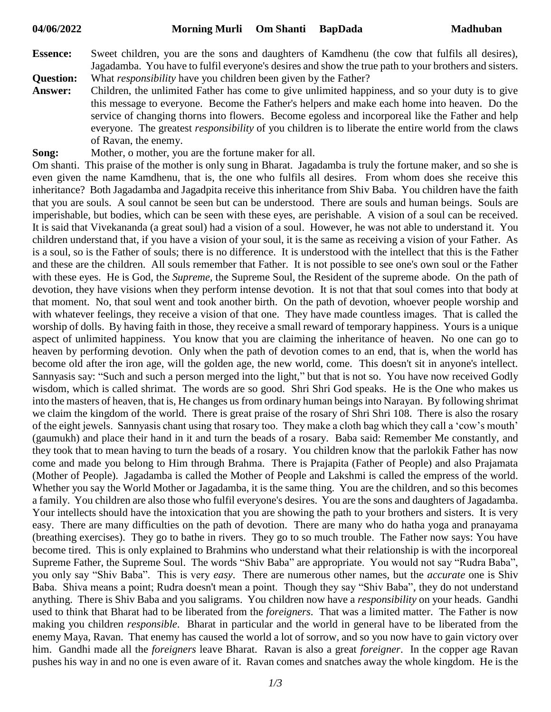- **Essence:** Sweet children, you are the sons and daughters of Kamdhenu (the cow that fulfils all desires), Jagadamba. You have to fulfil everyone's desires and show the true path to your brothers and sisters. **Question:** What *responsibility* have you children been given by the Father?
- **Answer:** Children, the unlimited Father has come to give unlimited happiness, and so your duty is to give this message to everyone. Become the Father's helpers and make each home into heaven. Do the service of changing thorns into flowers. Become egoless and incorporeal like the Father and help everyone. The greatest *responsibility* of you children is to liberate the entire world from the claws of Ravan, the enemy.
- **Song:** Mother, o mother, you are the fortune maker for all.

Om shanti. This praise of the mother is only sung in Bharat. Jagadamba is truly the fortune maker, and so she is even given the name Kamdhenu, that is, the one who fulfils all desires. From whom does she receive this inheritance? Both Jagadamba and Jagadpita receive this inheritance from Shiv Baba. You children have the faith that you are souls. A soul cannot be seen but can be understood. There are souls and human beings. Souls are imperishable, but bodies, which can be seen with these eyes, are perishable. A vision of a soul can be received. It is said that Vivekananda (a great soul) had a vision of a soul. However, he was not able to understand it. You children understand that, if you have a vision of your soul, it is the same as receiving a vision of your Father. As is a soul, so is the Father of souls; there is no difference. It is understood with the intellect that this is the Father and these are the children. All souls remember that Father. It is not possible to see one's own soul or the Father with these eyes. He is God, the *Supreme*, the Supreme Soul, the Resident of the supreme abode. On the path of devotion, they have visions when they perform intense devotion. It is not that that soul comes into that body at that moment. No, that soul went and took another birth. On the path of devotion, whoever people worship and with whatever feelings, they receive a vision of that one. They have made countless images. That is called the worship of dolls. By having faith in those, they receive a small reward of temporary happiness. Yours is a unique aspect of unlimited happiness. You know that you are claiming the inheritance of heaven. No one can go to heaven by performing devotion. Only when the path of devotion comes to an end, that is, when the world has become old after the iron age, will the golden age, the new world, come. This doesn't sit in anyone's intellect. Sannyasis say: "Such and such a person merged into the light," but that is not so. You have now received Godly wisdom, which is called shrimat. The words are so good. Shri Shri God speaks. He is the One who makes us into the masters of heaven, that is, He changes us from ordinary human beingsinto Narayan. By following shrimat we claim the kingdom of the world. There is great praise of the rosary of Shri Shri 108. There is also the rosary of the eight jewels. Sannyasis chant using that rosary too. They make a cloth bag which they call a 'cow's mouth' (gaumukh) and place their hand in it and turn the beads of a rosary. Baba said: Remember Me constantly, and they took that to mean having to turn the beads of a rosary. You children know that the parlokik Father has now come and made you belong to Him through Brahma. There is Prajapita (Father of People) and also Prajamata (Mother of People). Jagadamba is called the Mother of People and Lakshmi is called the empress of the world. Whether you say the World Mother or Jagadamba, it is the same thing. You are the children, and so this becomes a family. You children are also those who fulfil everyone's desires. You are the sons and daughters of Jagadamba. Your intellects should have the intoxication that you are showing the path to your brothers and sisters. It is very easy. There are many difficulties on the path of devotion. There are many who do hatha yoga and pranayama (breathing exercises). They go to bathe in rivers. They go to so much trouble. The Father now says: You have become tired. This is only explained to Brahmins who understand what their relationship is with the incorporeal Supreme Father, the Supreme Soul. The words "Shiv Baba" are appropriate. You would not say "Rudra Baba", you only say "Shiv Baba". This is very *easy*. There are numerous other names, but the *accurate* one is Shiv Baba. Shiva means a point; Rudra doesn't mean a point. Though they say "Shiv Baba", they do not understand anything. There is Shiv Baba and you saligrams. You children now have a *responsibility* on your heads. Gandhi used to think that Bharat had to be liberated from the *foreigners*. That was a limited matter. The Father is now making you children *responsible*. Bharat in particular and the world in general have to be liberated from the enemy Maya, Ravan. That enemy has caused the world a lot of sorrow, and so you now have to gain victory over him. Gandhi made all the *foreigners* leave Bharat. Ravan is also a great *foreigner*. In the copper age Ravan pushes his way in and no one is even aware of it. Ravan comes and snatches away the whole kingdom. He is the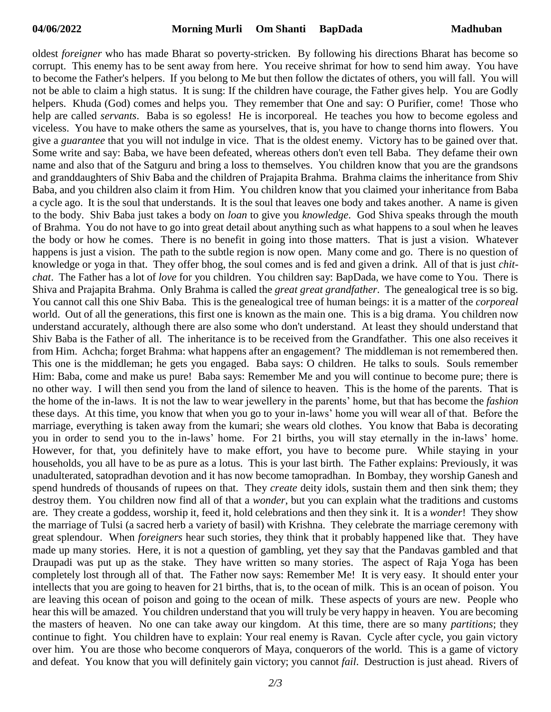oldest *foreigner* who has made Bharat so poverty-stricken. By following his directions Bharat has become so corrupt. This enemy has to be sent away from here. You receive shrimat for how to send him away. You have to become the Father's helpers. If you belong to Me but then follow the dictates of others, you will fall. You will not be able to claim a high status. It is sung: If the children have courage, the Father gives help. You are Godly helpers. Khuda (God) comes and helps you. They remember that One and say: O Purifier, come! Those who help are called *servants*. Baba is so egoless! He is incorporeal. He teaches you how to become egoless and viceless. You have to make others the same as yourselves, that is, you have to change thorns into flowers. You give a *guarantee* that you will not indulge in vice. That is the oldest enemy. Victory has to be gained over that. Some write and say: Baba, we have been defeated, whereas others don't even tell Baba. They defame their own name and also that of the Satguru and bring a loss to themselves. You children know that you are the grandsons and granddaughters of Shiv Baba and the children of Prajapita Brahma. Brahma claims the inheritance from Shiv Baba, and you children also claim it from Him. You children know that you claimed your inheritance from Baba a cycle ago. It is the soul that understands. It is the soul that leaves one body and takes another. A name is given to the body. Shiv Baba just takes a body on *loan* to give you *knowledge*. God Shiva speaks through the mouth of Brahma. You do not have to go into great detail about anything such as what happens to a soul when he leaves the body or how he comes. There is no benefit in going into those matters. That is just a vision. Whatever happens is just a vision. The path to the subtle region is now open. Many come and go. There is no question of knowledge or yoga in that. They offer bhog, the soul comes and is fed and given a drink. All of that is just *chitchat*. The Father has a lot of *love* for you children. You children say: BapDada, we have come to You. There is Shiva and Prajapita Brahma. Only Brahma is called the *great great grandfather*. The genealogical tree is so big. You cannot call this one Shiv Baba. This is the genealogical tree of human beings: it is a matter of the *corporeal* world. Out of all the generations, this first one is known as the main one. This is a big drama. You children now understand accurately, although there are also some who don't understand. At least they should understand that Shiv Baba is the Father of all. The inheritance is to be received from the Grandfather. This one also receives it from Him. Achcha; forget Brahma: what happens after an engagement? The middleman is not remembered then. This one is the middleman; he gets you engaged. Baba says: O children. He talks to souls. Souls remember Him: Baba, come and make us pure! Baba says: Remember Me and you will continue to become pure; there is no other way. I will then send you from the land of silence to heaven. This is the home of the parents. That is the home of the in-laws. It is not the law to wear jewellery in the parents' home, but that has become the *fashion* these days. At this time, you know that when you go to your in-laws' home you will wear all of that. Before the marriage, everything is taken away from the kumari; she wears old clothes. You know that Baba is decorating you in order to send you to the in-laws' home. For 21 births, you will stay eternally in the in-laws' home. However, for that, you definitely have to make effort, you have to become pure. While staying in your households, you all have to be as pure as a lotus. This is your last birth. The Father explains: Previously, it was unadulterated, satopradhan devotion and it has now become tamopradhan. In Bombay, they worship Ganesh and spend hundreds of thousands of rupees on that. They *create* deity idols, sustain them and then sink them; they destroy them. You children now find all of that a *wonder*, but you can explain what the traditions and customs are. They create a goddess, worship it, feed it, hold celebrations and then they sink it. It is a *wonder*! They show the marriage of Tulsi (a sacred herb a variety of basil) with Krishna. They celebrate the marriage ceremony with great splendour. When *foreigners* hear such stories, they think that it probably happened like that. They have made up many stories. Here, it is not a question of gambling, yet they say that the Pandavas gambled and that Draupadi was put up as the stake. They have written so many stories. The aspect of Raja Yoga has been completely lost through all of that. The Father now says: Remember Me! It is very easy. It should enter your intellects that you are going to heaven for 21 births, that is, to the ocean of milk. This is an ocean of poison. You are leaving this ocean of poison and going to the ocean of milk. These aspects of yours are new. People who hear this will be amazed. You children understand that you will truly be very happy in heaven. You are becoming the masters of heaven. No one can take away our kingdom. At this time, there are so many *partitions*; they continue to fight. You children have to explain: Your real enemy is Ravan. Cycle after cycle, you gain victory over him. You are those who become conquerors of Maya, conquerors of the world. This is a game of victory and defeat. You know that you will definitely gain victory; you cannot *fail*. Destruction is just ahead. Rivers of